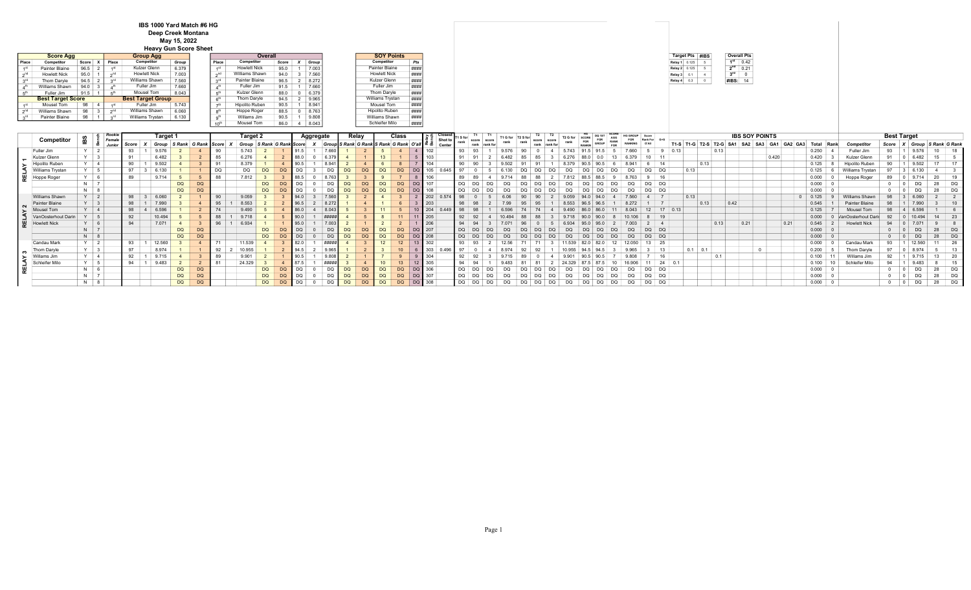## IBS 1000 Yard Match #6 HG Deep Creek Montana May 15, 2022

|                                        |  |                       |                 |             |                              | Deep Creek Montana          |                |                 |                     |              |                                   |                           |           |           |                |                     |                                                 |            |              |                   |            |     |          |                  |          |           |                |               |                |                   |                       |                 |           |                                 |                       |     |       |         |                         |                         |                    |                             |                 |           |
|----------------------------------------|--|-----------------------|-----------------|-------------|------------------------------|-----------------------------|----------------|-----------------|---------------------|--------------|-----------------------------------|---------------------------|-----------|-----------|----------------|---------------------|-------------------------------------------------|------------|--------------|-------------------|------------|-----|----------|------------------|----------|-----------|----------------|---------------|----------------|-------------------|-----------------------|-----------------|-----------|---------------------------------|-----------------------|-----|-------|---------|-------------------------|-------------------------|--------------------|-----------------------------|-----------------|-----------|
|                                        |  |                       |                 |             |                              | May 15, 2022                |                |                 |                     |              |                                   |                           |           |           |                |                     |                                                 |            |              |                   |            |     |          |                  |          |           |                |               |                |                   |                       |                 |           |                                 |                       |     |       |         |                         |                         |                    |                             |                 |           |
|                                        |  |                       |                 |             | <b>Heavy Gun Score Sheet</b> |                             |                |                 |                     |              |                                   |                           |           |           |                |                     |                                                 |            |              |                   |            |     |          |                  |          |           |                |               |                |                   |                       |                 |           |                                 |                       |     |       |         |                         |                         |                    |                             |                 |           |
| <b>Group Agg</b><br><b>Score Agg</b>   |  |                       |                 |             |                              |                             |                |                 |                     | Overall      |                                   |                           |           |           |                |                     | <b>SOY Points</b>                               |            |              |                   |            |     |          |                  |          |           |                |               |                |                   |                       | Target Pts #IBS |           |                                 | <b>Overall Pts</b>    |     |       |         |                         |                         |                    |                             |                 |           |
| Place<br>Competitor                    |  | Score<br>$\mathbf{x}$ | Place           |             | Competitor                   | Group                       |                | Place           | Competitor          |              | Score                             | Group<br>$\boldsymbol{x}$ |           |           |                | Competitor          |                                                 | Pts        |              |                   |            |     |          |                  |          |           |                |               |                |                   |                       | Relay 1 0.125   |           |                                 | $1st$ 0.42            |     |       |         |                         |                         |                    |                             |                 |           |
| Painter Blaine                         |  | 96.5                  |                 |             | Kulzer Glenn                 | 6.379                       |                | $-4$ st         | <b>Howlett Nick</b> |              | 95.0                              | 7.003                     |           |           |                | Painter Blaine      |                                                 | ####       |              |                   |            |     |          |                  |          |           |                |               |                |                   |                       | Relay 2 0.125 5 |           |                                 | $2nd$ 0.21            |     |       |         |                         |                         |                    |                             |                 |           |
| 2 <sup>nd</sup><br><b>Howlett Nick</b> |  | 95.0                  | 2 <sup>nd</sup> |             | <b>Howlett Nick</b>          | 7.003                       |                | 2 <sup>nd</sup> | Williams Shawn      |              | 94.0                              | 7.56<br>$\mathbf{3}$      |           |           |                | <b>Howlett Nick</b> |                                                 | ###        |              |                   |            |     |          |                  |          |           |                |               |                |                   |                       | Relay 3 0.1 4   |           |                                 | $3^{ra}$ 0            |     |       |         |                         |                         |                    |                             |                 |           |
| Thom Darvle                            |  | 94.5                  | $\sim$          |             | Williams Shawn               | 7.560                       |                |                 | Painter Blaine      |              | 96.5                              | 8.272<br>2                |           |           |                | Kulzer Glenn        |                                                 | ####       |              |                   |            |     |          |                  |          |           |                |               |                |                   |                       | Relay 4 0.3 0   |           |                                 | #IBS: 14              |     |       |         |                         |                         |                    |                             |                 |           |
| Williams Shawn                         |  | 94.0                  |                 |             | Fuller Jim                   | 7.660                       |                |                 | Fuller Jim          |              | 91.5                              | 7.66                      |           |           |                | Fuller Jim          |                                                 | ####       |              |                   |            |     |          |                  |          |           |                |               |                |                   |                       |                 |           |                                 |                       |     |       |         |                         |                         |                    |                             |                 |           |
| $E^{\text{th}}$<br>Fuller Jim          |  | 91.5                  | $-th$           |             | Mousel Tom                   | 8.043                       |                |                 | Kulzer Glenn        |              | 88.0                              | 6.379<br>$\Omega$         |           |           |                | Thom Daryle         |                                                 | ####       |              |                   |            |     |          |                  |          |           |                |               |                |                   |                       |                 |           |                                 |                       |     |       |         |                         |                         |                    |                             |                 |           |
| <b>Best Target Score</b>               |  |                       |                 |             | <b>Best Target Group</b>     |                             |                |                 | Thom Daryle         |              | $94.5$ 2                          | 9.965                     |           |           |                | Williams Trystan    |                                                 | ####       |              |                   |            |     |          |                  |          |           |                |               |                |                   |                       |                 |           |                                 |                       |     |       |         |                         |                         |                    |                             |                 |           |
| Mousel Tom<br>1 <sup>st</sup>          |  | 98                    |                 |             | Fuller Jim                   | 5.743                       |                |                 | Hipolito Ruben      |              | 90.5                              | 8.94                      |           |           |                | Mousel Tom          |                                                 | ###        |              |                   |            |     |          |                  |          |           |                |               |                |                   |                       |                 |           |                                 |                       |     |       |         |                         |                         |                    |                             |                 |           |
| 2 <sup>nd</sup><br>Williams Shawn      |  | 98                    | 2 <sub>nd</sub> |             | Williams Shawn               | 6.060                       |                |                 | Hoppe Roger         |              | 88.5                              | 8.76<br>$\Omega$          |           |           |                | Hipolito Ruben      |                                                 | ####       |              |                   |            |     |          |                  |          |           |                |               |                |                   |                       |                 |           |                                 |                       |     |       |         |                         |                         |                    |                             |                 |           |
| 3 <sup>rd</sup><br>Painter Blaine      |  | 98                    | ord             |             | Williams Trystan             | 6.130                       |                |                 | Willams Jim         |              | 90.5                              | 9.808                     |           |           |                | Williams Shawn      |                                                 | ####       |              |                   |            |     |          |                  |          |           |                |               |                |                   |                       |                 |           |                                 |                       |     |       |         |                         |                         |                    |                             |                 |           |
|                                        |  |                       |                 |             |                              |                             |                | 10 <sup>0</sup> | <b>Mousel Tom</b>   |              | 86.0 4 8.043                      |                           |           |           |                | Schleifer Milo      |                                                 | ####       |              |                   |            |     |          |                  |          |           |                |               |                |                   |                       |                 |           |                                 |                       |     |       |         |                         |                         |                    |                             |                 |           |
|                                        |  |                       | Rookie          |             |                              |                             |                |                 |                     |              |                                   |                           |           |           |                |                     |                                                 |            |              |                   | <b>T1</b>  | T1  |          |                  | T2       |           |                |               |                |                   |                       |                 |           |                                 |                       |     |       |         |                         |                         |                    |                             |                 |           |
| Competitor                             |  | ËВ                    | Female          |             | Target 1                     |                             |                |                 | <b>Target 2</b>     |              |                                   | Aggregate                 |           |           | Relay          |                     | Class                                           |            | Shot t       | rank              | [1 S for   |     | T1 G for |                  |          | T2 G for  | FOR            | DQ 1ST<br>FOR | FOR            | HG GROUP<br>Score | Rank For              |                 |           |                                 | <b>IBS SOY POINTS</b> |     |       |         |                         |                         | <b>Best Target</b> |                             |                 |           |
|                                        |  |                       | Junior          | Score X     |                              | Group S Rank G Rank Score X |                |                 |                     |              | Group S Rank G Rank Score X Group |                           |           |           |                |                     | S Rank G Rank S Rank G Rank O'all   $\leq \leq$ |            | Center       |                   | rank       |     |          |                  |          |           |                |               | <b>RANKING</b> | O'All             |                       |                 |           | T1-S T1-G T2-S T2-G SA1 SA2 SA3 |                       |     | GA1   | GA2 GA3 | <b>Total Rank</b>       | <b>Competitor</b>       |                    | Score X Group S Rank G Rank |                 |           |
| Fuller Jim                             |  | $Y \mid 2$            |                 | 93          | 9.576                        |                             |                | 90              | 5.743               |              |                                   | 91.5                      | .660      |           |                |                     |                                                 |            | 102          | 93                |            |     |          |                  |          |           |                |               | 7.660          |                   | - 9<br>-5             | 0.13            |           | 0.13                            |                       |     |       |         | 0.250<br>$\overline{4}$ | Fuller Jim              | 93                 |                             | 10              | 18        |
| Kulzer Glenn                           |  | $Y \mid 3$            |                 | 91          | 6.482                        |                             | $\overline{2}$ | 85              | 6.276               |              |                                   | 88.0                      | 6.379     |           |                | 13                  |                                                 |            | 103          | 91                |            |     |          |                  |          |           |                |               |                |                   | 10                    |                 |           |                                 |                       |     | 0.420 |         | 0.420                   | Kulzer Glenn            | 91                 | 6.482<br>$\Omega$           | 15              |           |
| Hipolito Ruben                         |  | $Y \mid 4$            |                 | 90          | 9.502                        |                             |                | 91              | 8.379               |              |                                   | 90.5                      | 8.941     |           |                |                     |                                                 |            |              |                   | 90         |     |          |                  |          |           |                |               |                |                   | 14<br>6               |                 |           | 0.13                            |                       |     |       |         | 0.125                   | Hipolito Ruben          | 90                 |                             |                 | 17        |
| Williams Trystar                       |  | $Y$ 5                 |                 | 97          | 6.130                        |                             |                | <b>DQ</b>       | DQ                  | <b>DQ</b>    | DQ                                | DQ                        | <b>DQ</b> | <b>DQ</b> | DQ             | <b>DQ</b>           | <b>DQ</b>                                       | DO.        | 105<br>0.645 | 97                |            |     |          |                  |          |           |                |               | DQ             |                   | DQ.<br>DQ             |                 | 0.13      |                                 |                       |     |       |         | 0.125                   | <b>Williams Trystan</b> | 97                 | $\mathbf{R}$                |                 |           |
| ш<br>Hoppe Roger                       |  | $Y$ 6                 |                 | 89          | 9.714                        |                             | 5              | 88              | 7.812               | $\mathbf{3}$ |                                   | 88.5                      | 8.763     |           |                |                     |                                                 |            | 106          | 89                |            |     |          |                  |          |           |                |               |                |                   | 9<br>16               |                 |           |                                 |                       |     |       |         | 0.000                   | Hoppe Roger             | 89                 |                             | 20              | 19        |
|                                        |  | $N$ 7                 |                 |             |                              | DQ                          | <b>DQ</b>      |                 |                     | <b>DQ</b>    | <b>DQ</b>                         | DQ                        | <b>DQ</b> | <b>DQ</b> | DQ             | <b>DQ</b>           | <b>DQ</b>                                       | <b>DQ</b>  | 107          |                   | DQ.<br>DO. | DQ  |          |                  |          |           |                |               | DQ             |                   | DQ DQ                 |                 |           |                                 |                       |     |       |         | 0.000<br>$\Omega$       |                         |                    | DO                          | 28              | DQ        |
|                                        |  | $N$ 8                 |                 |             |                              | DQ                          | DQ             |                 |                     | <b>DQ</b>    | DQ                                | DQ                        | <b>DQ</b> | <b>DQ</b> | DQ             | <b>DQ</b>           | <b>DQ</b>                                       | DQ         | 108          |                   | DQ.<br>DO  | DQ  |          |                  |          | DQ        | DQ             | DQ            | DQ<br>DQ       |                   | DQ DQ                 |                 |           |                                 |                       |     |       |         | 0.000<br>$\overline{0}$ |                         |                    | DQ                          | 28              | DQ        |
| Williams Shawn                         |  | $Y \mid 2$            |                 | 98 3        | 6.060                        |                             |                | 90              | 9.059               |              |                                   | 94.0                      | .560      |           |                |                     |                                                 |            | 202<br>0.574 | 98                |            |     |          |                  |          |           |                |               | 7.560          |                   | $\overline{4}$        |                 | 0.13      |                                 |                       |     |       |         | $0 \ 0.125$<br>-9       | Williams Shawn          | 98                 | $\vert$ 3<br>6.060          |                 |           |
| Painter Blaine                         |  | $Y \mid 3$            |                 | 98          | 7.990                        |                             | $\overline{4}$ | 95              | 8.553               |              |                                   | 96.5                      | 8.272     |           |                |                     |                                                 |            | 203          |                   |            |     |          |                  |          |           |                |               | 8.272          |                   |                       |                 |           | 0.13                            | 0.42                  |     |       |         | 0.545                   | Painter Blaine          | 98                 | 7.990<br>111.               |                 | 10        |
| $\sim$<br>Mousel Tom<br>╶              |  | $Y \mid 4$            |                 | 98          | 6.596                        |                             | $\overline{2}$ | 74              | 9.490               |              |                                   | 86.0                      | 8.043     |           |                | 11                  |                                                 | 10         | 204          | 0.449<br>98       |            |     |          |                  |          |           |                |               | 8.043          |                   | $12$ 17 0.13          |                 |           |                                 |                       |     |       |         | 0.125                   | <b>Mousel Tom</b>       | 98                 | 6.596<br>$\vert$ 4          |                 | -6        |
| VanOosterhout Darin                    |  | $Y \mid 5$            |                 | 92          | 10.494                       |                             |                | 88              | 9.718               |              |                                   | 90.0                      | $+444440$ |           |                |                     | 11                                              |            | 205          |                   | 92         |     |          |                  |          |           |                |               |                |                   | 19<br>8               |                 |           |                                 |                       |     |       |         | 0.000                   | VanOosterhout Darii     | 92                 | $\Omega$                    |                 | -23       |
| <b>RELA</b><br><b>Howlett Nick</b>     |  | $Y$ 6                 |                 | 94          | 7.071                        |                             |                | 96              | 6.934               |              |                                   | 95.0                      | 7.003     |           |                |                     |                                                 |            |              |                   |            |     |          |                  |          |           |                |               | 7.003          |                   | $2 \mid 4$            |                 |           | 0.13                            | 0.21                  |     | 0.21  |         | 0.545                   | <b>Howlett Nick</b>     | 94                 | $\Omega$                    |                 |           |
|                                        |  | $N$ 7                 |                 |             |                              | DQ                          | DQ             |                 |                     | <b>DQ</b>    | <b>DC</b>                         | <b>DQ</b>                 | DQ        | <b>DQ</b> | D <sub>C</sub> | DQ                  | DQ                                              | DQ         | 207          |                   | DQ<br>DO.  | DQ  |          |                  |          |           | DQ             | DQ            | DQ             |                   | DQ<br>$\overline{DQ}$ |                 |           |                                 |                       |     |       |         | $0.000$ 0               |                         | $\Omega$           | $\overline{0}$<br>DQ        | 28              | DQ        |
|                                        |  | $N$ 8                 |                 |             |                              | DQ                          | DQ             |                 |                     | DQ           | DC                                | <b>DQ</b>                 | <b>DQ</b> | <b>DQ</b> | DQ             | DQ                  | DQ                                              | DQ         | 208          |                   | DQ<br>DO.  | DO. |          | D <sub>C</sub>   |          |           | D <sub>C</sub> | DO            | <b>DQ</b>      |                   | $DQ$ $DQ$             |                 |           |                                 |                       |     |       |         | 0.000<br>$\sim$         |                         | $\circ$            | DO.<br>$\overline{0}$       | 28              | DQ        |
| Candau Mark                            |  | $Y$ 2                 |                 | $93 \mid 1$ | 12.560                       | $\mathbf{3}$                |                | 71              | 11.539              |              |                                   | 32.0                      | ,,,,,,,   |           |                | 12                  | 12                                              |            | 302          |                   | 93         |     |          |                  |          |           |                |               |                |                   | 13 25                 |                 |           |                                 |                       |     |       |         | 0.000                   | Candau Mark             | 93                 | 12.560<br>$\vert$ 1         | 11              | 26        |
| Thom Daryle                            |  | $Y \mid 3$            |                 | 97          | 8.974                        |                             |                | 92              | 10.955              |              |                                   | 4.5                       | 9.965     |           |                |                     | 10 <sup>1</sup>                                 |            | 303          | 0.496<br>97       |            |     |          |                  |          |           |                |               |                |                   | 13<br>3               |                 | $0.1$ 0.1 |                                 |                       | - 0 |       |         | 0.200                   | Thom Daryle             | 97                 | $\overline{0}$              |                 | 13        |
| ო<br>Willams Jim                       |  | $Y \mid 4$            |                 | 92          | 9.715                        |                             |                | 89              | 9.901               |              |                                   | 90.5                      | 9.808     |           |                |                     | 9                                               | $^{\circ}$ | 304          |                   | 92         |     |          |                  |          |           |                |               |                |                   |                       |                 |           | 0.1                             |                       |     |       |         | 0.100<br>11             | Willams Jim             | 92                 | $\vert$ 1<br>9.715          | 13 <sup>7</sup> | - 20      |
| Schleifer Milo                         |  | $Y \mid 5$            |                 | $94 \mid 1$ | 9.483                        | $\overline{2}$              | $\overline{2}$ | 81              | 24.329              |              |                                   | 87.5                      | ####      |           |                | 10 <sup>°</sup>     | 13                                              | 12         | 305          | $Q_{\mathcal{A}}$ |            |     |          |                  |          |           |                |               |                |                   | 11                    | $24 \ 0.1$      |           |                                 |                       |     |       |         | 0.100<br>10             | Schleifer Milo          | 94                 | 9.483<br>$\vert$ 1          |                 | 15        |
| Ě                                      |  | $N$ 6                 |                 |             |                              | <b>DQ</b>                   | <b>DQ</b>      |                 |                     | <b>DQ</b>    | <b>DC</b>                         | <b>DQ</b>                 | <b>DQ</b> | <b>DQ</b> | DQ             | <b>DQ</b>           | <b>DQ</b>                                       | DQ 306     |              |                   | DQ  <br>DQ | DQ  |          |                  |          |           | D <sub>C</sub> | DQ            | DQ             |                   | DQ DQ                 |                 |           |                                 |                       |     |       |         | 0.000<br>$\Omega$       |                         | $^{\circ}$         | <b>DQ</b><br>$\overline{0}$ | 28              | <b>DQ</b> |
| ∣≃∠                                    |  | $N$ 7                 |                 |             |                              | <b>DQ</b>                   | DQ             |                 |                     | <b>DQ</b>    | DC                                | <b>DQ</b>                 | <b>DQ</b> | <b>DQ</b> | <b>DQ</b>      | <b>DQ</b>           | <b>DQ</b>                                       | DQ 307     |              |                   | DQ         | DQ  | DQ       | DQ               |          |           |                |               | DQ             |                   | DQ DQ                 |                 |           |                                 |                       |     |       |         | 0.000<br>∣ ∩            |                         |                    |                             | 28              | DQ        |
|                                        |  |                       |                 |             |                              |                             |                |                 |                     |              |                                   |                           |           |           |                |                     |                                                 |            |              |                   | DQ         |     |          |                  | DQ<br>DQ | DQ        | DQ             | DQ            | DQ             |                   |                       |                 |           |                                 |                       |     |       |         |                         |                         | $\mathbf{0}$       | DQ<br>$\overline{0}$        |                 |           |
|                                        |  | $N$ $8$               |                 |             |                              | <b>DQ</b>                   | <b>DQ</b>      |                 |                     | <b>DQ</b>    | <b>DC</b>                         | DQ<br>$\Omega$            | DQ        | <b>DQ</b> | <b>DQ</b>      | <b>DQ</b>           | <b>DQ</b>                                       | DQ 308     |              |                   | DQ<br>DQ   | DQ. | DQ.      | <b>DQ</b><br>DQ. | DQ.      | <b>DQ</b> | <b>DQ</b>      | DQ            | DQ<br>DQ.      |                   | $DO$ $DO$             |                 |           |                                 |                       |     |       |         | 0.000<br>$\overline{0}$ |                         | $0 \quad 0$        | DQ.                         | 28              | DQ        |